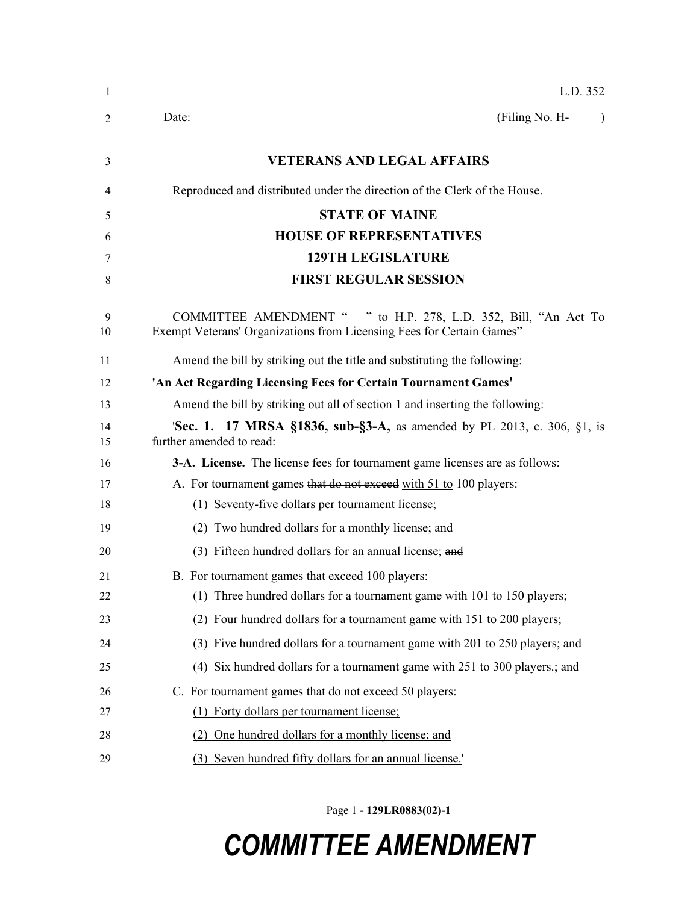| 1        | L.D. 352                                                                                                                                           |
|----------|----------------------------------------------------------------------------------------------------------------------------------------------------|
| 2        | (Filing No. H-<br>Date:                                                                                                                            |
| 3        | <b>VETERANS AND LEGAL AFFAIRS</b>                                                                                                                  |
| 4        | Reproduced and distributed under the direction of the Clerk of the House.                                                                          |
| 5        | <b>STATE OF MAINE</b>                                                                                                                              |
| 6        | <b>HOUSE OF REPRESENTATIVES</b>                                                                                                                    |
| 7        | <b>129TH LEGISLATURE</b>                                                                                                                           |
| 8        | <b>FIRST REGULAR SESSION</b>                                                                                                                       |
| 9<br>10  | <b>COMMITTEE AMENDMENT "</b><br>" to H.P. 278, L.D. 352, Bill, "An Act To<br>Exempt Veterans' Organizations from Licensing Fees for Certain Games" |
| 11       | Amend the bill by striking out the title and substituting the following:                                                                           |
| 12       | 'An Act Regarding Licensing Fees for Certain Tournament Games'                                                                                     |
| 13       | Amend the bill by striking out all of section 1 and inserting the following:                                                                       |
| 14<br>15 | <b>Sec. 1. 17 MRSA §1836, sub-§3-A, as amended by PL 2013, c. 306, §1, is</b><br>further amended to read:                                          |
| 16       | 3-A. License. The license fees for tournament game licenses are as follows:                                                                        |
| 17       | A. For tournament games that do not exceed with 51 to 100 players:                                                                                 |
| 18       | (1) Seventy-five dollars per tournament license;                                                                                                   |
| 19       | (2) Two hundred dollars for a monthly license; and                                                                                                 |
| 20       | (3) Fifteen hundred dollars for an annual license; and                                                                                             |
| 21       | B. For tournament games that exceed 100 players:                                                                                                   |
| 22       | (1) Three hundred dollars for a tournament game with 101 to 150 players;                                                                           |
| 23       | (2) Four hundred dollars for a tournament game with 151 to 200 players;                                                                            |
| 24       | (3) Five hundred dollars for a tournament game with 201 to 250 players; and                                                                        |
| 25       | (4) Six hundred dollars for a tournament game with $251$ to $300$ players-; and                                                                    |
| 26       | C. For tournament games that do not exceed 50 players:                                                                                             |
| 27       | (1) Forty dollars per tournament license;                                                                                                          |
| 28       | (2) One hundred dollars for a monthly license; and                                                                                                 |
| 29       | (3) Seven hundred fifty dollars for an annual license.'                                                                                            |

Page 1 **- 129LR0883(02)-1**

## *COMMITTEE AMENDMENT*